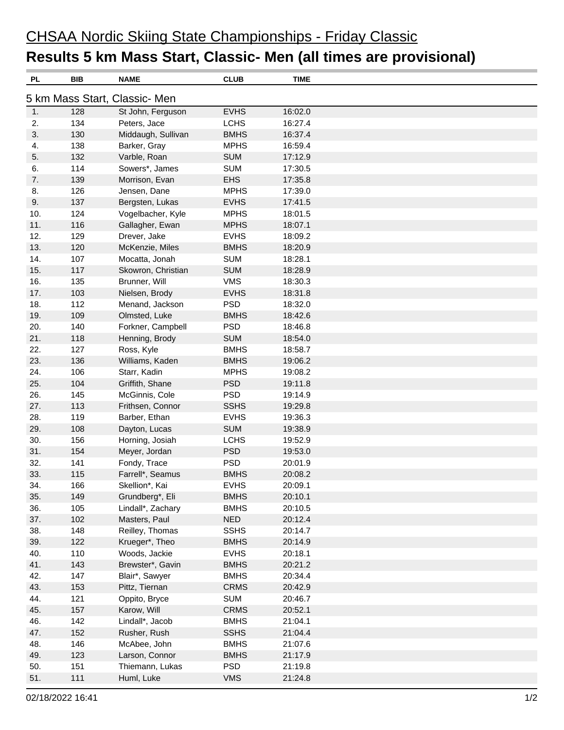## CHSAA Nordic Skiing State Championships - Friday Classic **Results 5 km Mass Start, Classic- Men (all times are provisional)**

| PL                            | BIB | <b>NAME</b>        | <b>CLUB</b> | <b>TIME</b> |  |  |  |  |
|-------------------------------|-----|--------------------|-------------|-------------|--|--|--|--|
| 5 km Mass Start, Classic- Men |     |                    |             |             |  |  |  |  |
| 1.                            | 128 | St John, Ferguson  | <b>EVHS</b> | 16:02.0     |  |  |  |  |
| 2.                            | 134 | Peters, Jace       | <b>LCHS</b> | 16:27.4     |  |  |  |  |
| 3.                            | 130 | Middaugh, Sullivan | <b>BMHS</b> | 16:37.4     |  |  |  |  |
| 4.                            | 138 | Barker, Gray       | <b>MPHS</b> | 16:59.4     |  |  |  |  |
| 5.                            | 132 | Varble, Roan       | <b>SUM</b>  | 17:12.9     |  |  |  |  |
| 6.                            | 114 | Sowers*, James     | <b>SUM</b>  | 17:30.5     |  |  |  |  |
| 7.                            | 139 | Morrison, Evan     | <b>EHS</b>  | 17:35.8     |  |  |  |  |
| 8.                            | 126 | Jensen, Dane       | <b>MPHS</b> | 17:39.0     |  |  |  |  |
| 9.                            | 137 | Bergsten, Lukas    | <b>EVHS</b> | 17:41.5     |  |  |  |  |
| 10.                           | 124 | Vogelbacher, Kyle  | <b>MPHS</b> | 18:01.5     |  |  |  |  |
| 11.                           | 116 | Gallagher, Ewan    | <b>MPHS</b> | 18:07.1     |  |  |  |  |
| 12.                           | 129 | Drever, Jake       | <b>EVHS</b> | 18:09.2     |  |  |  |  |
| 13.                           | 120 | McKenzie, Miles    | <b>BMHS</b> | 18:20.9     |  |  |  |  |
| 14.                           | 107 | Mocatta, Jonah     | <b>SUM</b>  | 18:28.1     |  |  |  |  |
| 15.                           | 117 | Skowron, Christian | <b>SUM</b>  | 18:28.9     |  |  |  |  |
| 16.                           | 135 | Brunner, Will      | <b>VMS</b>  | 18:30.3     |  |  |  |  |
| 17.                           | 103 | Nielsen, Brody     | <b>EVHS</b> | 18:31.8     |  |  |  |  |
| 18.                           | 112 | Menand, Jackson    | <b>PSD</b>  | 18:32.0     |  |  |  |  |
| 19.                           | 109 | Olmsted, Luke      | <b>BMHS</b> | 18:42.6     |  |  |  |  |
| 20.                           | 140 | Forkner, Campbell  | <b>PSD</b>  | 18:46.8     |  |  |  |  |
| 21.                           | 118 | Henning, Brody     | <b>SUM</b>  | 18:54.0     |  |  |  |  |
| 22.                           | 127 | Ross, Kyle         | <b>BMHS</b> | 18:58.7     |  |  |  |  |
| 23.                           | 136 | Williams, Kaden    | <b>BMHS</b> | 19:06.2     |  |  |  |  |
| 24.                           | 106 | Starr, Kadin       | <b>MPHS</b> | 19:08.2     |  |  |  |  |
| 25.                           | 104 | Griffith, Shane    | <b>PSD</b>  | 19:11.8     |  |  |  |  |
| 26.                           | 145 | McGinnis, Cole     | <b>PSD</b>  | 19:14.9     |  |  |  |  |
| 27.                           | 113 | Frithsen, Connor   | <b>SSHS</b> | 19:29.8     |  |  |  |  |
| 28.                           | 119 | Barber, Ethan      | <b>EVHS</b> | 19:36.3     |  |  |  |  |
| 29.                           | 108 | Dayton, Lucas      | <b>SUM</b>  | 19:38.9     |  |  |  |  |
| 30.                           | 156 | Horning, Josiah    | <b>LCHS</b> | 19:52.9     |  |  |  |  |
| 31.                           | 154 | Meyer, Jordan      | <b>PSD</b>  | 19:53.0     |  |  |  |  |
| 32.                           | 141 | Fondy, Trace       | <b>PSD</b>  | 20:01.9     |  |  |  |  |
| 33.                           | 115 | Farrell*, Seamus   | <b>BMHS</b> | 20:08.2     |  |  |  |  |
| 34.                           | 166 | Skellion*, Kai     | <b>EVHS</b> | 20:09.1     |  |  |  |  |
| 35.                           | 149 | Grundberg*, Eli    | <b>BMHS</b> | 20:10.1     |  |  |  |  |
| 36.                           | 105 | Lindall*, Zachary  | <b>BMHS</b> | 20:10.5     |  |  |  |  |
| 37.                           | 102 | Masters, Paul      | <b>NED</b>  | 20:12.4     |  |  |  |  |
| 38.                           | 148 | Reilley, Thomas    | <b>SSHS</b> | 20:14.7     |  |  |  |  |
| 39.                           | 122 | Krueger*, Theo     | <b>BMHS</b> | 20:14.9     |  |  |  |  |
| 40.                           | 110 | Woods, Jackie      | <b>EVHS</b> | 20:18.1     |  |  |  |  |
| 41.                           | 143 | Brewster*, Gavin   | <b>BMHS</b> | 20:21.2     |  |  |  |  |
| 42.                           | 147 | Blair*, Sawyer     | <b>BMHS</b> | 20:34.4     |  |  |  |  |
| 43.                           | 153 | Pittz, Tiernan     | <b>CRMS</b> | 20:42.9     |  |  |  |  |
| 44.                           | 121 | Oppito, Bryce      | <b>SUM</b>  | 20:46.7     |  |  |  |  |
| 45.                           | 157 | Karow, Will        | <b>CRMS</b> | 20:52.1     |  |  |  |  |
| 46.                           | 142 | Lindall*, Jacob    | <b>BMHS</b> | 21:04.1     |  |  |  |  |
| 47.                           | 152 | Rusher, Rush       | <b>SSHS</b> | 21:04.4     |  |  |  |  |
| 48.                           | 146 | McAbee, John       | <b>BMHS</b> | 21:07.6     |  |  |  |  |
| 49.                           | 123 | Larson, Connor     | <b>BMHS</b> | 21:17.9     |  |  |  |  |
| 50.                           | 151 | Thiemann, Lukas    | <b>PSD</b>  | 21:19.8     |  |  |  |  |
| 51.                           | 111 | Huml, Luke         | <b>VMS</b>  | 21:24.8     |  |  |  |  |